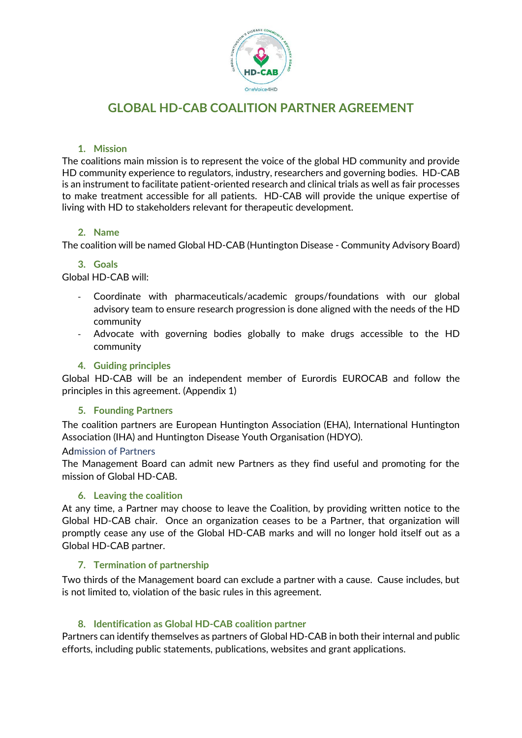

# **GLOBAL HD-CAB COALITION PARTNER AGREEMENT**

## **1. Mission**

The coalitions main mission is to represent the voice of the global HD community and provide HD community experience to regulators, industry, researchers and governing bodies. HD-CAB is an instrument to facilitate patient-oriented research and clinical trials as well as fair processes to make treatment accessible for all patients. HD-CAB will provide the unique expertise of living with HD to stakeholders relevant for therapeutic development.

## **2. Name**

The coalition will be named Global HD-CAB (Huntington Disease - Community Advisory Board)

## **3. Goals**

Global HD-CAB will:

- Coordinate with pharmaceuticals/academic groups/foundations with our global advisory team to ensure research progression is done aligned with the needs of the HD community
- Advocate with governing bodies globally to make drugs accessible to the HD community

# **4. Guiding principles**

Global HD-CAB will be an independent member of Eurordis EUROCAB and follow the principles in this agreement. (Appendix 1)

## **5. Founding Partners**

The coalition partners are European Huntington Association (EHA), International Huntington Association (IHA) and Huntington Disease Youth Organisation (HDYO).

## Admission of Partners

The Management Board can admit new Partners as they find useful and promoting for the mission of Global HD-CAB.

## **6. Leaving the coalition**

At any time, a Partner may choose to leave the Coalition, by providing written notice to the Global HD-CAB chair. Once an organization ceases to be a Partner, that organization will promptly cease any use of the Global HD-CAB marks and will no longer hold itself out as a Global HD-CAB partner.

## **7. Termination of partnership**

Two thirds of the Management board can exclude a partner with a cause. Cause includes, but is not limited to, violation of the basic rules in this agreement.

## **8. Identification as Global HD-CAB coalition partner**

Partners can identify themselves as partners of Global HD-CAB in both their internal and public efforts, including public statements, publications, websites and grant applications.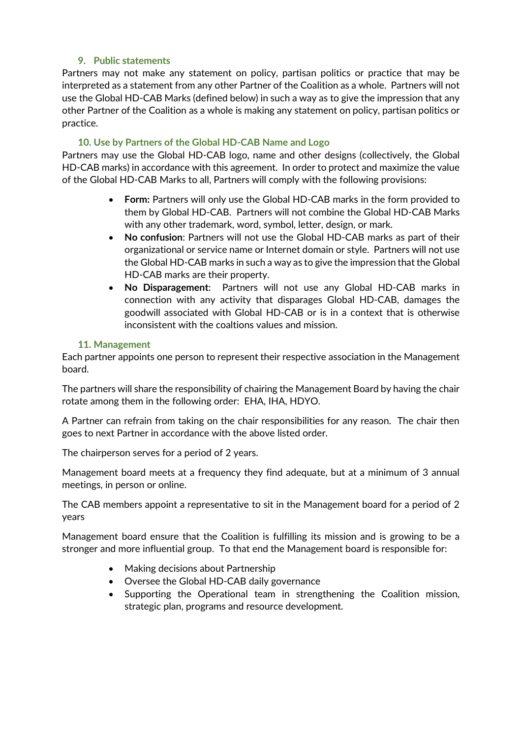# **9. Public statements**

Partners may not make any statement on policy, partisan politics or practice that may be interpreted as a statement from any other Partner of the Coalition as a whole. Partners will not use the Global HD-CAB Marks (defined below) in such a way as to give the impression that any other Partner of the Coalition as a whole is making any statement on policy, partisan politics or practice.

## **10. Use by Partners of the Global HD-CAB Name and Logo**

Partners may use the Global HD-CAB logo, name and other designs (collectively, the Global HD-CAB marks) in accordance with this agreement. In order to protect and maximize the value of the Global HD-CAB Marks to all, Partners will comply with the following provisions:

- **Form:** Partners will only use the Global HD-CAB marks in the form provided to them by Global HD-CAB. Partners will not combine the Global HD-CAB Marks with any other trademark, word, symbol, letter, design, or mark.
- **No confusion**: Partners will not use the Global HD-CAB marks as part of their organizational or service name or Internet domain or style. Partners will not use the Global HD-CAB marks in such a way as to give the impression that the Global HD-CAB marks are their property.
- **No Disparagement**: Partners will not use any Global HD-CAB marks in connection with any activity that disparages Global HD-CAB, damages the goodwill associated with Global HD-CAB or is in a context that is otherwise inconsistent with the coaltions values and mission.

## **11. Management**

Each partner appoints one person to represent their respective association in the Management board.

The partners will share the responsibility of chairing the Management Board by having the chair rotate among them in the following order: EHA, IHA, HDYO.

A Partner can refrain from taking on the chair responsibilities for any reason. The chair then goes to next Partner in accordance with the above listed order.

The chairperson serves for a period of 2 years.

Management board meets at a frequency they find adequate, but at a minimum of 3 annual meetings, in person or online.

The CAB members appoint a representative to sit in the Management board for a period of 2 years

Management board ensure that the Coalition is fulfilling its mission and is growing to be a stronger and more influential group. To that end the Management board is responsible for:

- Making decisions about Partnership
- Oversee the Global HD-CAB daily governance
- Supporting the Operational team in strengthening the Coalition mission, strategic plan, programs and resource development.